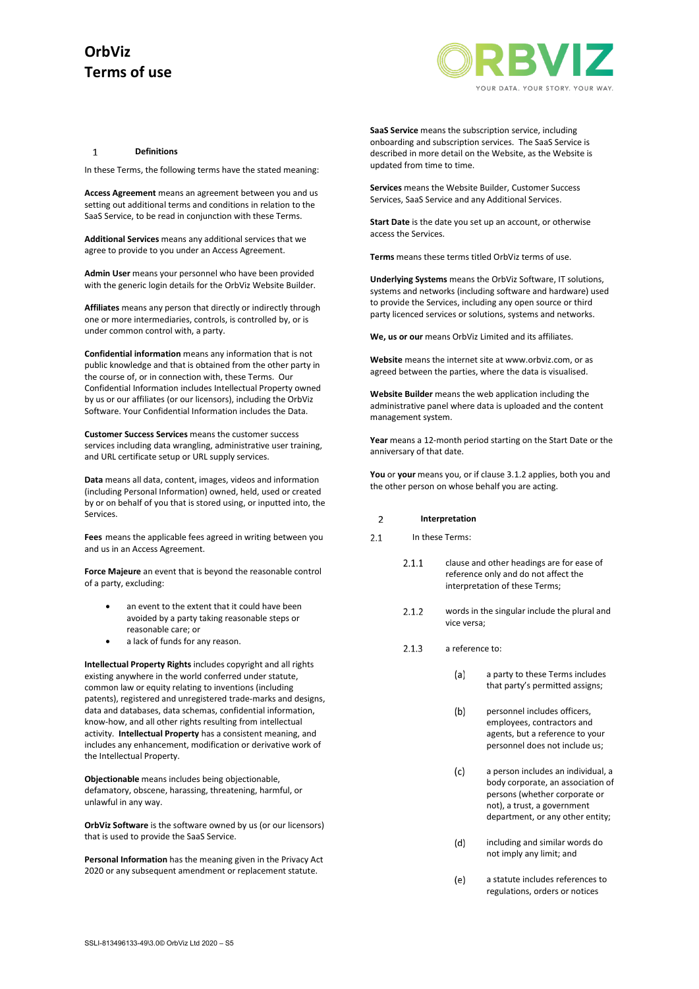

#### $\mathbf{1}$ **Definitions**

In these Terms, the following terms have the stated meaning:

**Access Agreement** means an agreement between you and us setting out additional terms and conditions in relation to the SaaS Service, to be read in conjunction with these Terms.

**Additional Services** means any additional services that we agree to provide to you under an Access Agreement.

**Admin User** means your personnel who have been provided with the generic login details for the OrbViz Website Builder.

**Affiliates** means any person that directly or indirectly through one or more intermediaries, controls, is controlled by, or is under common control with, a party.

**Confidential information** means any information that is not public knowledge and that is obtained from the other party in the course of, or in connection with, these Terms. Our Confidential Information includes Intellectual Property owned by us or our affiliates (or our licensors), including the OrbViz Software. Your Confidential Information includes the Data.

**Customer Success Services** means the customer success services including data wrangling, administrative user training, and URL certificate setup or URL supply services.

**Data** means all data, content, images, videos and information (including Personal Information) owned, held, used or created by or on behalf of you that is stored using, or inputted into, the Services.

**Fees** means the applicable fees agreed in writing between you and us in an Access Agreement.

**Force Majeure** an event that is beyond the reasonable control of a party, excluding:

- an event to the extent that it could have been avoided by a party taking reasonable steps or reasonable care; or
- a lack of funds for any reason.

**Intellectual Property Rights** includes copyright and all rights existing anywhere in the world conferred under statute, common law or equity relating to inventions (including patents), registered and unregistered trade-marks and designs, data and databases, data schemas, confidential information, know-how, and all other rights resulting from intellectual activity. **Intellectual Property** has a consistent meaning, and includes any enhancement, modification or derivative work of the Intellectual Property.

**Objectionable** means includes being objectionable, defamatory, obscene, harassing, threatening, harmful, or unlawful in any way.

**OrbViz Software** is the software owned by us (or our licensors) that is used to provide the SaaS Service.

**Personal Information** has the meaning given in the Privacy Act 2020 or any subsequent amendment or replacement statute.

**SaaS Service** means the subscription service, including onboarding and subscription services. The SaaS Service is described in more detail on the Website, as the Website is updated from time to time.

**Services** means the Website Builder, Customer Success Services, SaaS Service and any Additional Services.

**Start Date** is the date you set up an account, or otherwise access the Services.

**Terms** means these terms titled OrbViz terms of use.

**Underlying Systems** means the OrbViz Software, IT solutions, systems and networks (including software and hardware) used to provide the Services, including any open source or third party licenced services or solutions, systems and networks.

**We, us or our** means OrbViz Limited and its affiliates.

**Website** means the internet site at www.orbviz.com, or as agreed between the parties, where the data is visualised.

**Website Builder** means the web application including the administrative panel where data is uploaded and the content management system.

**Year** means a 12-month period starting on the Start Date or the anniversary of that date.

**You** or **your** means you, or if claus[e 3.1.2](#page-1-0) applies, both you and the other person on whose behalf you are acting.

#### $\overline{2}$ **Interpretation**

- $2.1$ In these Terms:
	- $2.1.1$ clause and other headings are for ease of reference only and do not affect the interpretation of these Terms;
	- $2.1.2$ words in the singular include the plural and vice versa;
	- $2.1.3$ a reference to:
		- a party to these Terms includes  $(a)$ that party's permitted assigns;
		- $(b)$ personnel includes officers, employees, contractors and agents, but a reference to your personnel does not include us;
		- a person includes an individual, a  $(c)$ body corporate, an association of persons (whether corporate or not), a trust, a government department, or any other entity;
		- $(d)$ including and similar words do not imply any limit; and
		- a statute includes references to  $(e)$ regulations, orders or notices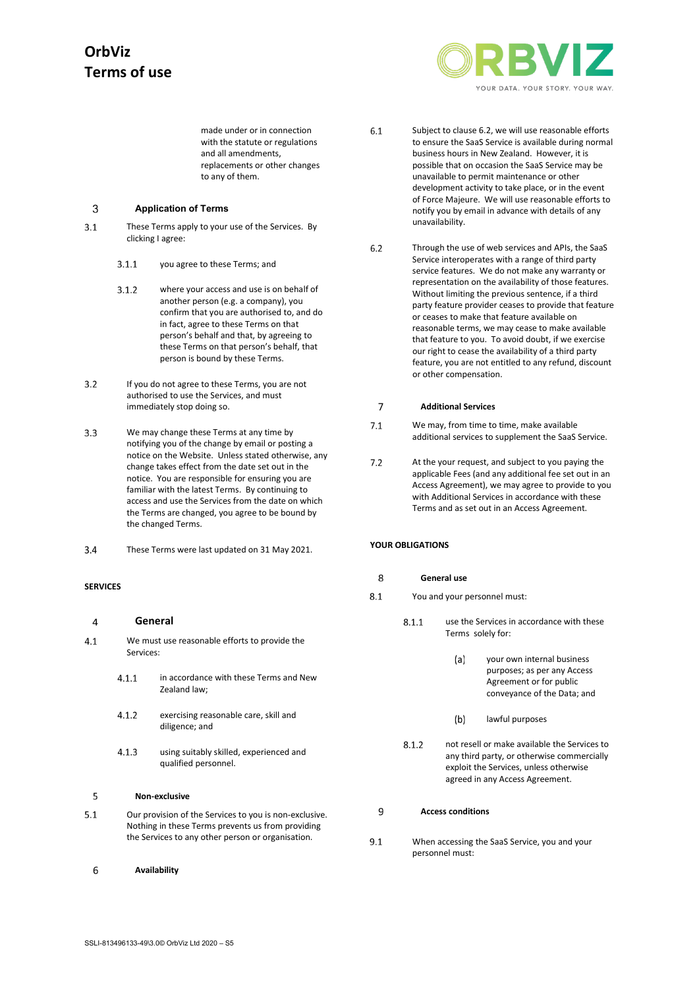

made under or in connection with the statute or regulations and all amendments, replacements or other changes to any of them.

#### 3 **Application of Terms**

- <span id="page-1-0"></span> $3.1$ These Terms apply to your use of the Services. By clicking I agree:
	- you agree to these Terms; and  $3.1.1$
	- $3.1.2$ where your access and use is on behalf of another person (e.g. a company), you confirm that you are authorised to, and do in fact, agree to these Terms on that person's behalf and that, by agreeing to these Terms on that person's behalf, that person is bound by these Terms.
- If you do not agree to these Terms, you are not  $3.2$ authorised to use the Services, and must immediately stop doing so.
- $3.3$ We may change these Terms at any time by notifying you of the change by email or posting a notice on the Website. Unless stated otherwise, any change takes effect from the date set out in the notice. You are responsible for ensuring you are familiar with the latest Terms. By continuing to access and use the Services from the date on which the Terms are changed, you agree to be bound by the changed Terms.
- $3.4$ These Terms were last updated on 31 May 2021.

### **SERVICES**

#### $\overline{4}$ **General**

- $4.1$ We must use reasonable efforts to provide the Services:
	- in accordance with these Terms and New  $4.1.1$ Zealand law;
	- $4.1.2$ exercising reasonable care, skill and diligence; and
	- using suitably skilled, experienced and  $4.1.3$ qualified personnel.

#### $\overline{5}$ **Non-exclusive**

- $5.1$ Our provision of the Services to you is non-exclusive. Nothing in these Terms prevents us from providing the Services to any other person or organisation.
- 6 **Availability**
- $6.1$ Subject to claus[e 6.2,](#page-1-1) we will use reasonable efforts to ensure the SaaS Service is available during normal business hours in New Zealand. However, it is possible that on occasion the SaaS Service may be unavailable to permit maintenance or other development activity to take place, or in the event of Force Majeure. We will use reasonable efforts to notify you by email in advance with details of any unavailability.
- <span id="page-1-1"></span> $6.2$ Through the use of web services and APIs, the SaaS Service interoperates with a range of third party service features. We do not make any warranty or representation on the availability of those features. Without limiting the previous sentence, if a third party feature provider ceases to provide that feature or ceases to make that feature available on reasonable terms, we may cease to make available that feature to you. To avoid doubt, if we exercise our right to cease the availability of a third party feature, you are not entitled to any refund, discount or other compensation.

#### $\overline{7}$ **Additional Services**

- $7.1$ We may, from time to time, make available additional services to supplement the SaaS Service.
- $7.2$ At the your request, and subject to you paying the applicable Fees (and any additional fee set out in an Access Agreement), we may agree to provide to you with Additional Services in accordance with these Terms and as set out in an Access Agreement.

## <span id="page-1-2"></span>**YOUR OBLIGATIONS**

#### 8 **General use**

- $8.1$ You and your personnel must:
	- $8.1.1$ use the Services in accordance with these Terms solely for:
		- $(a)$ your own internal business purposes; as per any Access Agreement or for public conveyance of the Data; and
		- $(b)$ lawful purposes
	- $8.1.2$ not resell or make available the Services to any third party, or otherwise commercially exploit the Services, unless otherwise agreed in any Access Agreement.

#### <span id="page-1-3"></span>9 **Access conditions**

When accessing the SaaS Service, you and your  $9.1$ personnel must: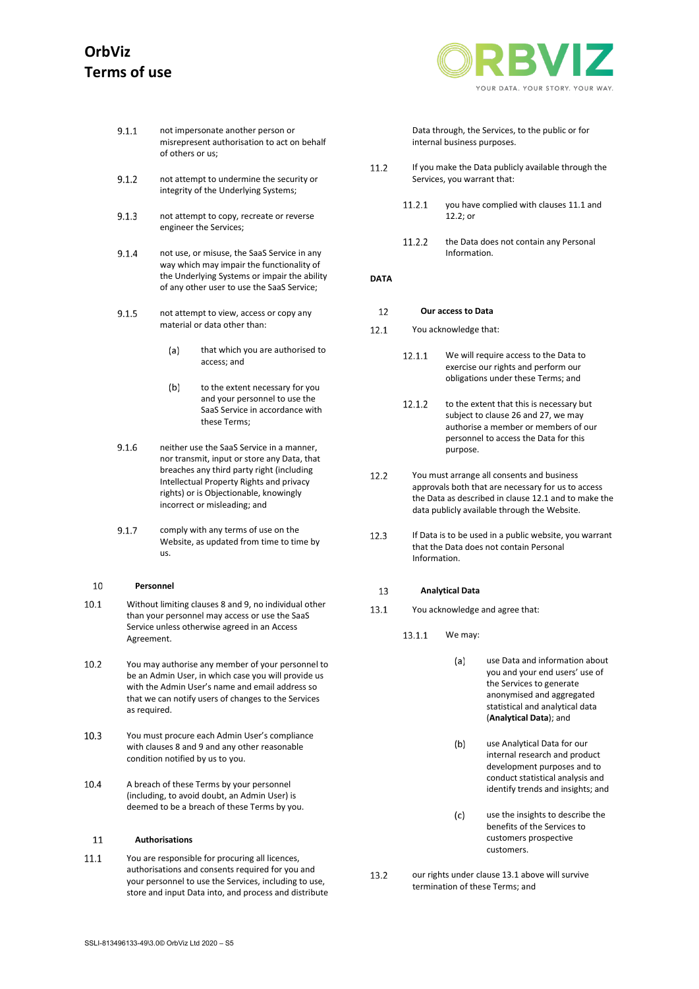YOUR DATA, YOUR STORY, YOUR WAY

- $9.1.1$ not impersonate another person or misrepresent authorisation to act on behalf of others or us;
- $9.1.2$ not attempt to undermine the security or integrity of the Underlying Systems;
- $9.1.3$ not attempt to copy, recreate or reverse engineer the Services;
- $9.1.4$ not use, or misuse, the SaaS Service in any way which may impair the functionality of the Underlying Systems or impair the ability of any other user to use the SaaS Service;
- $9.1.5$ not attempt to view, access or copy any material or data other than:
	- $(a)$ that which you are authorised to access; and
	- $(b)$ to the extent necessary for you and your personnel to use the SaaS Service in accordance with these Terms;
- $9.1.6$ neither use the SaaS Service in a manner, nor transmit, input or store any Data, that breaches any third party right (including Intellectual Property Rights and privacy rights) or is Objectionable, knowingly incorrect or misleading; and
- $9.1.7$ comply with any terms of use on the Website, as updated from time to time by us.

#### 10 **Personnel**

- $10.1$ Without limiting clause[s 8](#page-1-2) and [9,](#page-1-3) no individual other than your personnel may access or use the SaaS Service unless otherwise agreed in an Access Agreement.
- $10.2$ You may authorise any member of your personnel to be an Admin User, in which case you will provide us with the Admin User's name and email address so that we can notify users of changes to the Services as required.
- 10.3 You must procure each Admin User's compliance with clause[s 8](#page-1-2) and [9](#page-1-3) and any other reasonable condition notified by us to you.
- 10.4 A breach of these Terms by your personnel (including, to avoid doubt, an Admin User) is deemed to be a breach of these Terms by you.

#### 11 **Authorisations**

<span id="page-2-0"></span> $111$ You are responsible for procuring all licences, authorisations and consents required for you and your personnel to use the Services, including to use, store and input Data into, and process and distribute Data through, the Services, to the public or for internal business purposes.

- 11.2 If you make the Data publicly available through the Services, you warrant that:
	- 11.2.1 you have complied with clause[s 11.1](#page-2-0) and  $12.2$ ; or
	- $11.2.2$ the Data does not contain any Personal Information.

## **DATA**

#### $12$ **Our access to Data**

- <span id="page-2-2"></span>You acknowledge that:  $12.1$ 
	- 12.1.1 We will require access to the Data to exercise our rights and perform our obligations under these Terms; and
	- $12.1.2$ to the extent that this is necessary but subject to clause [26](#page-4-0) and [27,](#page-4-1) we may authorise a member or members of our personnel to access the Data for this purpose.
- <span id="page-2-1"></span> $12.2$ You must arrange all consents and business approvals both that are necessary for us to access the Data as described in claus[e 12.1](#page-2-2) and to make the data publicly available through the Website.
- $12.3$ If Data is to be used in a public website, you warrant that the Data does not contain Personal Information.

#### 13 **Analytical Data**

- <span id="page-2-3"></span>13.1 You acknowledge and agree that:
	- 13.1.1 We may:
		- $(a)$ use Data and information about you and your end users' use of the Services to generate anonymised and aggregated statistical and analytical data (**Analytical Data**); and
		- $(b)$ use Analytical Data for our internal research and product development purposes and to conduct statistical analysis and identify trends and insights; and
		- use the insights to describe the  $(c)$ benefits of the Services to customers prospective customers.
- our rights under claus[e 13.1](#page-2-3) above will survive 13.2 termination of these Terms; and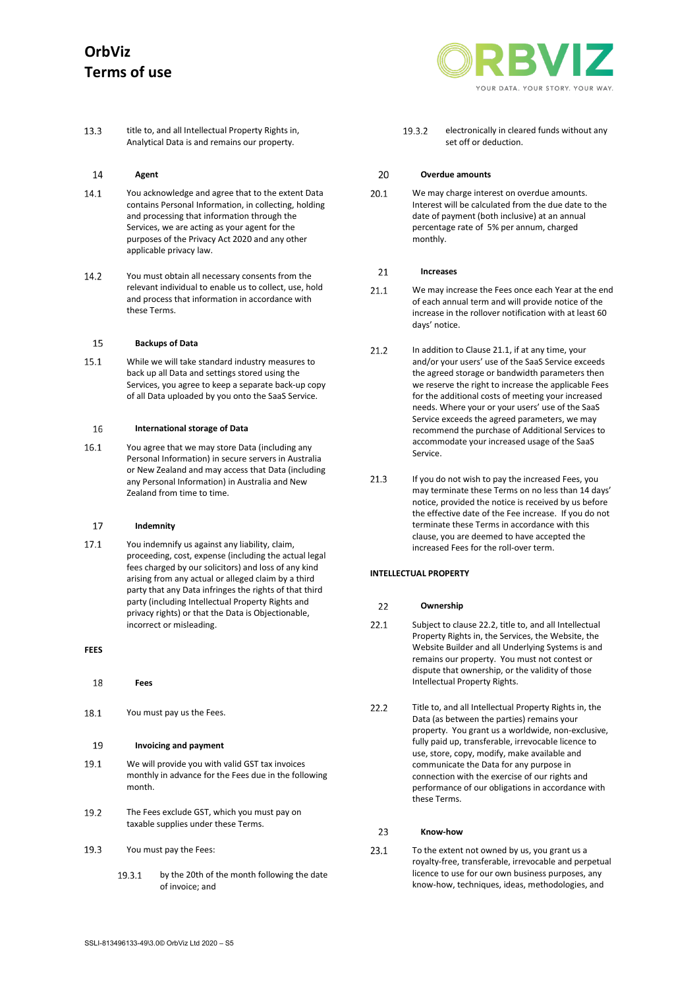

13.3 title to, and all Intellectual Property Rights in, Analytical Data is and remains our property.

#### <span id="page-3-4"></span>14 **Agent**

- 14.1 You acknowledge and agree that to the extent Data contains Personal Information, in collecting, holding and processing that information through the Services, we are acting as your agent for the purposes of the Privacy Act 2020 and any other applicable privacy law.
- $14.2$ You must obtain all necessary consents from the relevant individual to enable us to collect, use, hold and process that information in accordance with these Terms.

#### 15 **Backups of Data**

15.1 While we will take standard industry measures to back up all Data and settings stored using the Services, you agree to keep a separate back-up copy of all Data uploaded by you onto the SaaS Service.

#### 16 **International storage of Data**

16.1 You agree that we may store Data (including any Personal Information) in secure servers in Australia or New Zealand and may access that Data (including any Personal Information) in Australia and New Zealand from time to time.

#### <span id="page-3-2"></span>17 **Indemnity**

17.1 You indemnify us against any liability, claim, proceeding, cost, expense (including the actual legal fees charged by our solicitors) and loss of any kind arising from any actual or alleged claim by a third party that any Data infringes the rights of that third party (including Intellectual Property Rights and privacy rights) or that the Data is Objectionable, incorrect or misleading.

## **FEES**

- 18 **Fees**
- 18.1 You must pay us the Fees.

#### 19 **Invoicing and payment**

- 19.1 We will provide you with valid GST tax invoices monthly in advance for the Fees due in the following month.
- 19.2 The Fees exclude GST, which you must pay on taxable supplies under these Terms.
- 19.3 You must pay the Fees:
	- 19.3.1 by the 20th of the month following the date of invoice; and

19.3.2 electronically in cleared funds without any set off or deduction.

#### 20 **Overdue amounts**

20.1 We may charge interest on overdue amounts. Interest will be calculated from the due date to the date of payment (both inclusive) at an annual percentage rate of 5% per annum, charged monthly.

#### <span id="page-3-5"></span> $21$ **Increases**

- <span id="page-3-0"></span> $21.1$ We may increase the Fees once each Year at the end of each annual term and will provide notice of the increase in the rollover notification with at least 60 days' notice.
- 21.2 In addition to Claus[e 21.1,](#page-3-0) if at any time, your and/or your users' use of the SaaS Service exceeds the agreed storage or bandwidth parameters then we reserve the right to increase the applicable Fees for the additional costs of meeting your increased needs. Where your or your users' use of the SaaS Service exceeds the agreed parameters, we may recommend the purchase of Additional Services to accommodate your increased usage of the SaaS Service.
- $21.3$ If you do not wish to pay the increased Fees, you may terminate these Terms on no less than 14 days' notice, provided the notice is received by us before the effective date of the Fee increase. If you do not terminate these Terms in accordance with this clause, you are deemed to have accepted the increased Fees for the roll-over term.

## <span id="page-3-3"></span>**INTELLECTUAL PROPERTY**

#### $22$ **Ownership**

- $22.1$ Subject to claus[e 22.2,](#page-3-1) title to, and all Intellectual Property Rights in, the Services, the Website, the Website Builder and all Underlying Systems is and remains our property. You must not contest or dispute that ownership, or the validity of those Intellectual Property Rights.
- <span id="page-3-1"></span>22.2 Title to, and all Intellectual Property Rights in, the Data (as between the parties) remains your property. You grant us a worldwide, non-exclusive, fully paid up, transferable, irrevocable licence to use, store, copy, modify, make available and communicate the Data for any purpose in connection with the exercise of our rights and performance of our obligations in accordance with these Terms.

#### $23$ **Know-how**

23.1 To the extent not owned by us, you grant us a royalty-free, transferable, irrevocable and perpetual licence to use for our own business purposes, any know-how, techniques, ideas, methodologies, and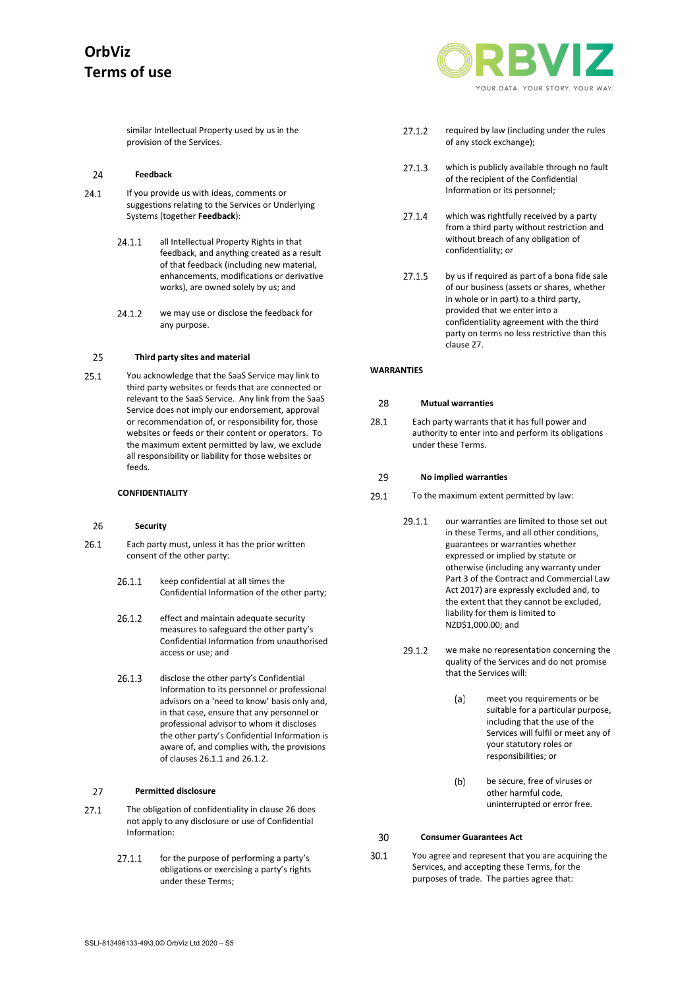similar Intellectual Property used by us in the provision of the Services.

#### <span id="page-4-6"></span>24 **Feedback**

- 24.1 If you provide us with ideas, comments or suggestions relating to the Services or Underlying Systems (together **Feedback**):
	- 24.1.1 all Intellectual Property Rights in that feedback, and anything created as a result of that feedback (including new material, enhancements, modifications or derivative works), are owned solely by us; and
	- 24.1.2 we may use or disclose the feedback for any purpose.

#### <span id="page-4-7"></span>25 **Third party sites and material**

You acknowledge that the SaaS Service may link to 25.1 third party websites or feeds that are connected or relevant to the SaaS Service. Any link from the SaaS Service does not imply our endorsement, approval or recommendation of, or responsibility for, those websites or feeds or their content or operators. To the maximum extent permitted by law, we exclude all responsibility or liability for those websites or feeds.

### **CONFIDENTIALITY**

#### <span id="page-4-0"></span>26 **Security**

- <span id="page-4-3"></span><span id="page-4-2"></span>26.1 Each party must, unless it has the prior written consent of the other party:
	- 26.1.1 keep confidential at all times the Confidential Information of the other party;
	- 26.1.2 effect and maintain adequate security measures to safeguard the other party's Confidential Information from unauthorised access or use; and
	- 26.1.3 disclose the other party's Confidential Information to its personnel or professional advisors on a 'need to know' basis only and, in that case, ensure that any personnel or professional advisor to whom it discloses the other party's Confidential Information is aware of, and complies with, the provisions of clause[s 26.1.1](#page-4-2) an[d 26.1.2.](#page-4-3)

#### <span id="page-4-1"></span>27 **Permitted disclosure**

- 27.1 The obligation of confidentiality in claus[e 26](#page-4-0) does not apply to any disclosure or use of Confidential Information:
	- $2711$ for the purpose of performing a party's obligations or exercising a party's rights under these Terms;



- 27.1.2 required by law (including under the rules of any stock exchange);
- 27.1.3 which is publicly available through no fault of the recipient of the Confidential Information or its personnel;
- $2714$ which was rightfully received by a party from a third party without restriction and without breach of any obligation of confidentiality; or
- 27.1.5 by us if required as part of a bona fide sale of our business (assets or shares, whether in whole or in part) to a third party, provided that we enter into a confidentiality agreement with the third party on terms no less restrictive than this claus[e 27.](#page-4-1)

### **WARRANTIES**

#### 28 **Mutual warranties**

28.1 Each party warrants that it has full power and authority to enter into and perform its obligations under these Terms.

#### 29 **No implied warranties**

- <span id="page-4-5"></span>29.1 To the maximum extent permitted by law:
	- 29.1.1 our warranties are limited to those set out in these Terms, and all other conditions, guarantees or warranties whether expressed or implied by statute or otherwise (including any warranty under Part 3 of the Contract and Commercial Law Act 2017) are expressly excluded and, to the extent that they cannot be excluded, liability for them is limited to NZD\$1,000.00; and
	- 29.1.2 we make no representation concerning the quality of the Services and do not promise that the Services will:
		- meet you requirements or be  $(a)$ suitable for a particular purpose, including that the use of the Services will fulfil or meet any of your statutory roles or responsibilities; or
		- $(b)$ be secure, free of viruses or other harmful code, uninterrupted or error free.

#### <span id="page-4-4"></span>30 **Consumer Guarantees Act**

 $30.1$ You agree and represent that you are acquiring the Services, and accepting these Terms, for the purposes of trade. The parties agree that: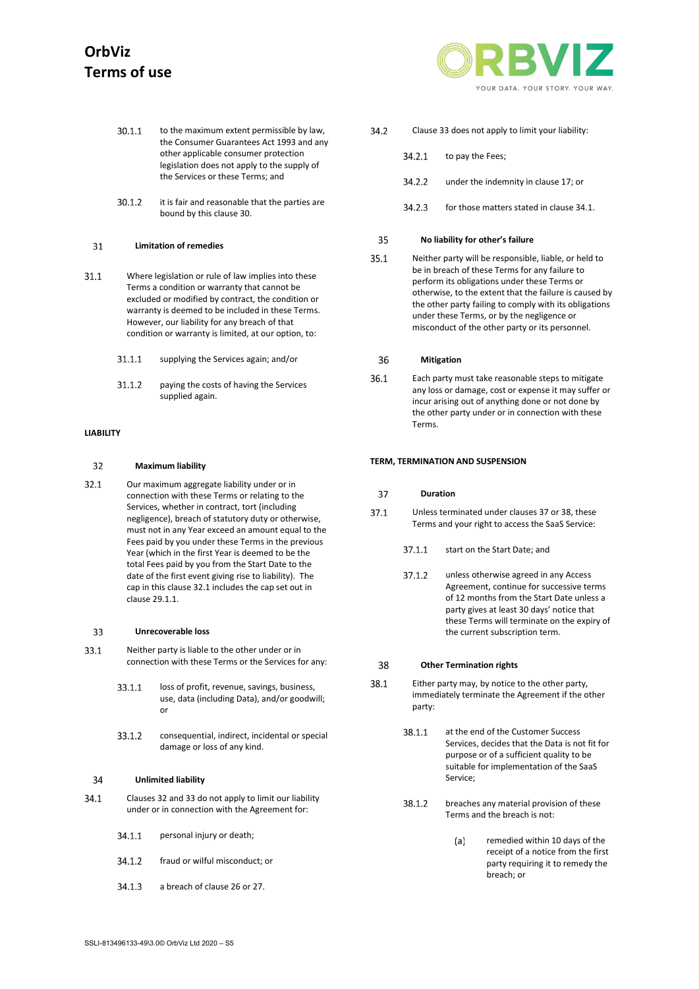- 30.1.1 to the maximum extent permissible by law, the Consumer Guarantees Act 1993 and any other applicable consumer protection legislation does not apply to the supply of the Services or these Terms; and
- $30.1.2$ it is fair and reasonable that the parties are bound by this claus[e 30.](#page-4-4)

#### 31 **Limitation of remedies**

- $31.1$ Where legislation or rule of law implies into these Terms a condition or warranty that cannot be excluded or modified by contract, the condition or warranty is deemed to be included in these Terms. However, our liability for any breach of that condition or warranty is limited, at our option, to:
	- $31.1.1$ supplying the Services again; and/or
	- 31.1.2 paying the costs of having the Services supplied again.

### <span id="page-5-1"></span>**LIABILITY**

#### 32 **Maximum liability**

<span id="page-5-0"></span> $32.1$ Our maximum aggregate liability under or in connection with these Terms or relating to the Services, whether in contract, tort (including negligence), breach of statutory duty or otherwise, must not in any Year exceed an amount equal to the Fees paid by you under these Terms in the previous Year (which in the first Year is deemed to be the total Fees paid by you from the Start Date to the date of the first event giving rise to liability). The cap in this clause [32.1](#page-5-0) includes the cap set out in claus[e 29.1.1.](#page-4-5)

#### <span id="page-5-2"></span>33 **Unrecoverable loss**

- 33.1 Neither party is liable to the other under or in connection with these Terms or the Services for any:
	- 33.1.1 loss of profit, revenue, savings, business, use, data (including Data), and/or goodwill; or
	- 33.1.2 consequential, indirect, incidental or special damage or loss of any kind.

#### <span id="page-5-5"></span>34 **Unlimited liability**

- <span id="page-5-3"></span>34.1 Clause[s 32](#page-5-1) an[d 33](#page-5-2) do not apply to limit our liability under or in connection with the Agreement for:
	- 34.1.1 personal injury or death;
	- 34.1.2 fraud or wilful misconduct; or
	- 34.1.3 a breach of clause [26](#page-4-0) o[r 27.](#page-4-1)



- 34.2 Claus[e 33](#page-5-2) does not apply to limit your liability:
	- 34.2.1 to pay the Fees;
		- 34.2.2 under the indemnity in claus[e 17;](#page-3-2) or
		- 34.2.3 for those matters stated in claus[e 34.1.](#page-5-3)

#### <span id="page-5-6"></span>35 **No liability for other's failure**

35.1 Neither party will be responsible, liable, or held to be in breach of these Terms for any failure to perform its obligations under these Terms or otherwise, to the extent that the failure is caused by the other party failing to comply with its obligations under these Terms, or by the negligence or misconduct of the other party or its personnel.

#### 36 **Mitigation**

36.1 Each party must take reasonable steps to mitigate any loss or damage, cost or expense it may suffer or incur arising out of anything done or not done by the other party under or in connection with these Terms.

### **TERM, TERMINATION AND SUSPENSION**

#### 37 **Duration**

- $371$ Unless terminated under clauses 37 or [38,](#page-5-4) these Terms and your right to access the SaaS Service:
	- 37.1.1 start on the Start Date; and
	- 3712 unless otherwise agreed in any Access Agreement, continue for successive terms of 12 months from the Start Date unless a party gives at least 30 days' notice that these Terms will terminate on the expiry of the current subscription term.

#### <span id="page-5-4"></span>38 **Other Termination rights**

- 38.1 Either party may, by notice to the other party, immediately terminate the Agreement if the other party:
	- 38.1.1 at the end of the Customer Success Services, decides that the Data is not fit for purpose or of a sufficient quality to be suitable for implementation of the SaaS Service;
	- 38.1.2 breaches any material provision of these Terms and the breach is not:
		- remedied within 10 days of the  $(a)$ receipt of a notice from the first party requiring it to remedy the breach; or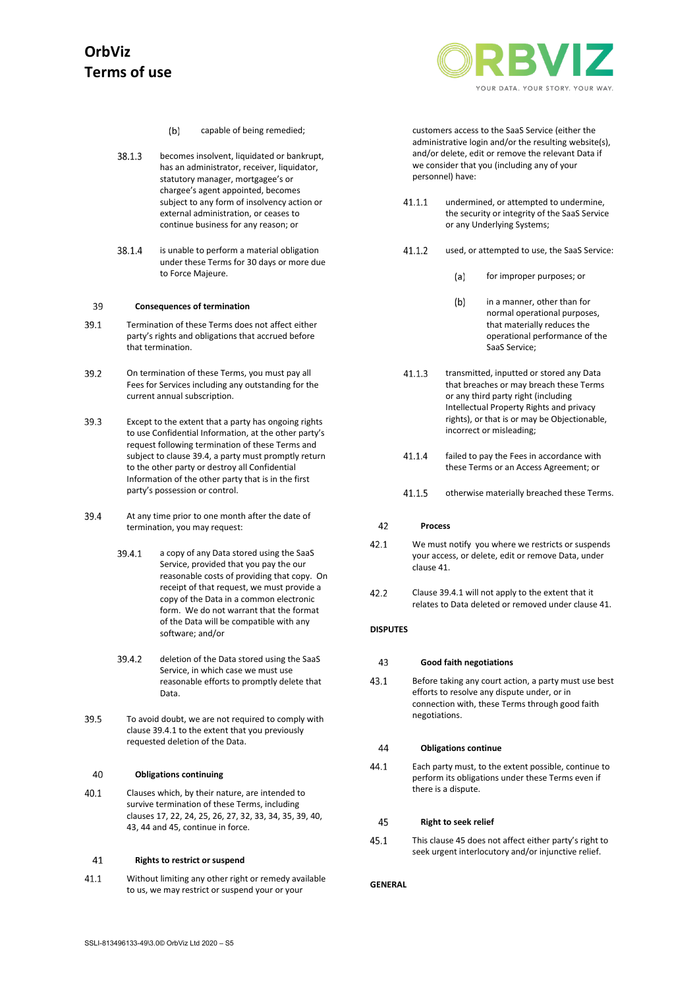

- $(b)$ capable of being remedied;
- 38.1.3 becomes insolvent, liquidated or bankrupt, has an administrator, receiver, liquidator, statutory manager, mortgagee's or chargee's agent appointed, becomes subject to any form of insolvency action or external administration, or ceases to continue business for any reason; or
- 38.1.4 is unable to perform a material obligation under these Terms for 30 days or more due to Force Majeure.

#### <span id="page-6-2"></span>39 **Consequences of termination**

- 39.1 Termination of these Terms does not affect either party's rights and obligations that accrued before that termination.
- 39.2 On termination of these Terms, you must pay all Fees for Services including any outstanding for the current annual subscription.
- 39.3 Except to the extent that a party has ongoing rights to use Confidential Information, at the other party's request following termination of these Terms and subject to claus[e 39.4,](#page-6-0) a party must promptly return to the other party or destroy all Confidential Information of the other party that is in the first party's possession or control.
- <span id="page-6-1"></span><span id="page-6-0"></span>39.4 At any time prior to one month after the date of termination, you may request:
	- 39.4.1 a copy of any Data stored using the SaaS Service, provided that you pay the our reasonable costs of providing that copy. On receipt of that request, we must provide a copy of the Data in a common electronic form. We do not warrant that the format of the Data will be compatible with any software; and/or
	- 39.4.2 deletion of the Data stored using the SaaS Service, in which case we must use reasonable efforts to promptly delete that Data.
- 39.5 To avoid doubt, we are not required to comply with claus[e 39.4.1](#page-6-1) to the extent that you previously requested deletion of the Data.

#### <span id="page-6-3"></span>40 **Obligations continuing**

40.1 Clauses which, by their nature, are intended to survive termination of these Terms, including clause[s 17,](#page-3-2) [22,](#page-3-3) [24,](#page-4-6) [25,](#page-4-7) [26,](#page-4-0) [27,](#page-4-1) [32,](#page-5-1) [33,](#page-5-2) [34,](#page-5-5) [35,](#page-5-6) [39,](#page-6-2) [40,](#page-6-3)  [43,](#page-6-4) [44](#page-6-5) and [45,](#page-6-6) continue in force.

#### <span id="page-6-7"></span>41 **Rights to restrict or suspend**

41.1 Without limiting any other right or remedy available to us, we may restrict or suspend your or your

customers access to the SaaS Service (either the administrative login and/or the resulting website(s), and/or delete, edit or remove the relevant Data if we consider that you (including any of your personnel) have:

- $41.1.1$ undermined, or attempted to undermine, the security or integrity of the SaaS Service or any Underlying Systems;
- $41.1.2$ used, or attempted to use, the SaaS Service:
	- for improper purposes; or  $(a)$
	- $(b)$ in a manner, other than for normal operational purposes, that materially reduces the operational performance of the SaaS Service;
- $41.1.3$ transmitted, inputted or stored any Data that breaches or may breach these Terms or any third party right (including Intellectual Property Rights and privacy rights), or that is or may be Objectionable, incorrect or misleading;
- 41.1.4 failed to pay the Fees in accordance with these Terms or an Access Agreement; or
- 41.1.5 otherwise materially breached these Terms.

#### 42 **Process**

- 42.1 We must notify you where we restricts or suspends your access, or delete, edit or remove Data, under claus[e 41.](#page-6-7)
- 42.2 Claus[e 39.4.1](#page-6-1) will not apply to the extent that it relates to Data deleted or removed under clause [41.](#page-6-7)

### <span id="page-6-4"></span>**DISPUTES**

#### 43 **Good faith negotiations**

43.1 Before taking any court action, a party must use best efforts to resolve any dispute under, or in connection with, these Terms through good faith negotiations.

#### <span id="page-6-5"></span>44 **Obligations continue**

Each party must, to the extent possible, continue to 44.1 perform its obligations under these Terms even if there is a dispute.

#### <span id="page-6-6"></span>45 **Right to seek relief**

45.1 This claus[e 45](#page-6-6) does not affect either party's right to seek urgent interlocutory and/or injunctive relief.

## **GENERAL**